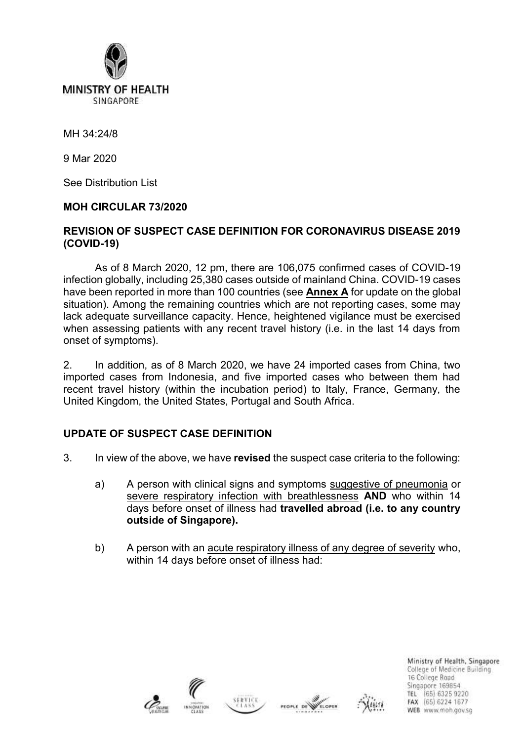

SINGAPORE

MH 34:24/8

9 Mar 2020

See Distribution List

### **MOH CIRCULAR 73/2020**

### **REVISION OF SUSPECT CASE DEFINITION FOR CORONAVIRUS DISEASE 2019 (COVID-19)**

As of 8 March 2020, 12 pm, there are 106,075 confirmed cases of COVID-19 infection globally, including 25,380 cases outside of mainland China. COVID-19 cases have been reported in more than 100 countries (see **Annex A** for update on the global situation). Among the remaining countries which are not reporting cases, some may lack adequate surveillance capacity. Hence, heightened vigilance must be exercised when assessing patients with any recent travel history (i.e. in the last 14 days from onset of symptoms).

2. In addition, as of 8 March 2020, we have 24 imported cases from China, two imported cases from Indonesia, and five imported cases who between them had recent travel history (within the incubation period) to Italy, France, Germany, the United Kingdom, the United States, Portugal and South Africa.

## **UPDATE OF SUSPECT CASE DEFINITION**

- 3. In view of the above, we have **revised** the suspect case criteria to the following:
	- a) A person with clinical signs and symptoms suggestive of pneumonia or severe respiratory infection with breathlessness **AND** who within 14 days before onset of illness had **travelled abroad (i.e. to any country outside of Singapore).**
	- b) A person with an acute respiratory illness of any degree of severity who, within 14 days before onset of illness had:







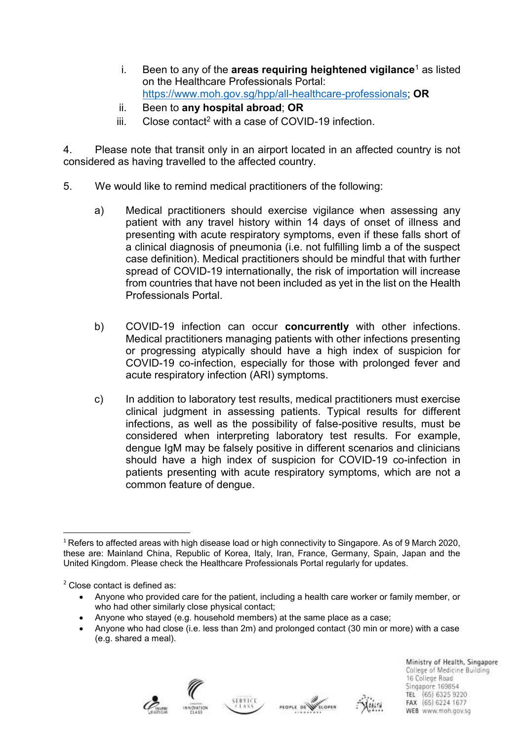- i. Been to any of the **areas requiring heightened vigilance**<sup>1</sup> as listed on the Healthcare Professionals Portal: [https://www.moh.gov.sg/hpp/all-healthcare-professionals;](https://www.moh.gov.sg/hpp/all-healthcare-professionals) **OR**
- ii. Been to **any hospital abroad**; **OR**
- $iii.$  Close contact<sup>2</sup> with a case of COVID-19 infection.

4. Please note that transit only in an airport located in an affected country is not considered as having travelled to the affected country.

- 5. We would like to remind medical practitioners of the following:
	- a) Medical practitioners should exercise vigilance when assessing any patient with any travel history within 14 days of onset of illness and presenting with acute respiratory symptoms, even if these falls short of a clinical diagnosis of pneumonia (i.e. not fulfilling limb a of the suspect case definition). Medical practitioners should be mindful that with further spread of COVID-19 internationally, the risk of importation will increase from countries that have not been included as yet in the list on the Health Professionals Portal.
	- b) COVID-19 infection can occur **concurrently** with other infections. Medical practitioners managing patients with other infections presenting or progressing atypically should have a high index of suspicion for COVID-19 co-infection, especially for those with prolonged fever and acute respiratory infection (ARI) symptoms.
	- c) In addition to laboratory test results, medical practitioners must exercise clinical judgment in assessing patients. Typical results for different infections, as well as the possibility of false-positive results, must be considered when interpreting laboratory test results. For example, dengue IgM may be falsely positive in different scenarios and clinicians should have a high index of suspicion for COVID-19 co-infection in patients presenting with acute respiratory symptoms, which are not a common feature of dengue.

<sup>2</sup> Close contact is defined as:

- Anyone who provided care for the patient, including a health care worker or family member, or who had other similarly close physical contact;
- Anyone who stayed (e.g. household members) at the same place as a case;
- Anyone who had close (i.e. less than 2m) and prolonged contact (30 min or more) with a case (e.g. shared a meal).









 $\overline{a}$  $1$  Refers to affected areas with high disease load or high connectivity to Singapore. As of 9 March 2020, these are: Mainland China, Republic of Korea, Italy, Iran, France, Germany, Spain, Japan and the United Kingdom. Please check the Healthcare Professionals Portal regularly for updates.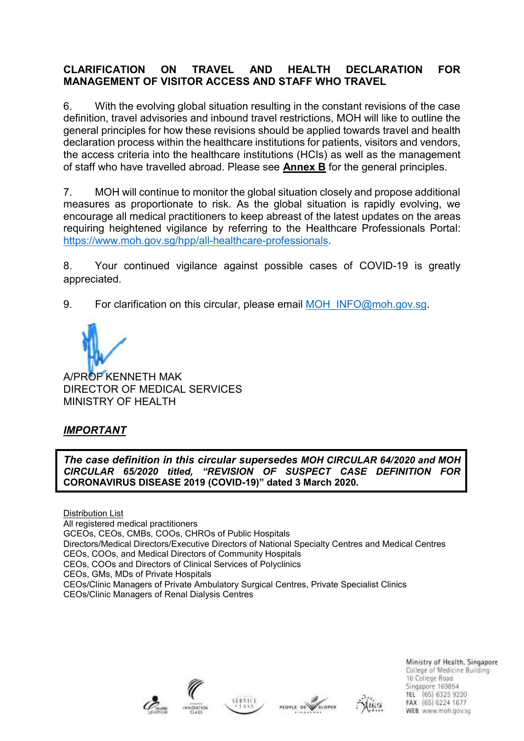# **CLARIFICATION ON TRAVEL AND HEALTH DECLARATION FOR MANAGEMENT OF VISITOR ACCESS AND STAFF WHO TRAVEL**

6. With the evolving global situation resulting in the constant revisions of the case definition, travel advisories and inbound travel restrictions, MOH will like to outline the general principles for how these revisions should be applied towards travel and health declaration process within the healthcare institutions for patients, visitors and vendors, the access criteria into the healthcare institutions (HCIs) as well as the management of staff who have travelled abroad. Please see **Annex B** for the general principles.

7. MOH will continue to monitor the global situation closely and propose additional measures as proportionate to risk. As the global situation is rapidly evolving, we encourage all medical practitioners to keep abreast of the latest updates on the areas requiring heightened vigilance by referring to the Healthcare Professionals Portal: [https://www.moh.gov.sg/hpp/all-healthcare-professionals.](https://www.moh.gov.sg/hpp/all-healthcare-professionals)

8. Your continued vigilance against possible cases of COVID-19 is greatly appreciated.

9. For clarification on this circular, please email [MOH\\_INFO@moh.gov.sg.](mailto:MOH_INFO@moh.gov.sg)

A/PROF KENNETH MAK DIRECTOR OF MEDICAL SERVICES MINISTRY OF HEALTH

# *IMPORTANT*

*The case definition in this circular supersedes MOH CIRCULAR 64/2020 and MOH CIRCULAR 65/2020 titled, "REVISION OF SUSPECT CASE DEFINITION FOR*  **CORONAVIRUS DISEASE 2019 (COVID-19)" dated 3 March 2020.**

Distribution List All registered medical practitioners GCEOs, CEOs, CMBs, COOs, CHROs of Public Hospitals Directors/Medical Directors/Executive Directors of National Specialty Centres and Medical Centres CEOs, COOs, and Medical Directors of Community Hospitals CEOs, COOs and Directors of Clinical Services of Polyclinics CEOs, GMs, MDs of Private Hospitals CEOs/Clinic Managers of Private Ambulatory Surgical Centres, Private Specialist Clinics CEOs/Clinic Managers of Renal Dialysis Centres







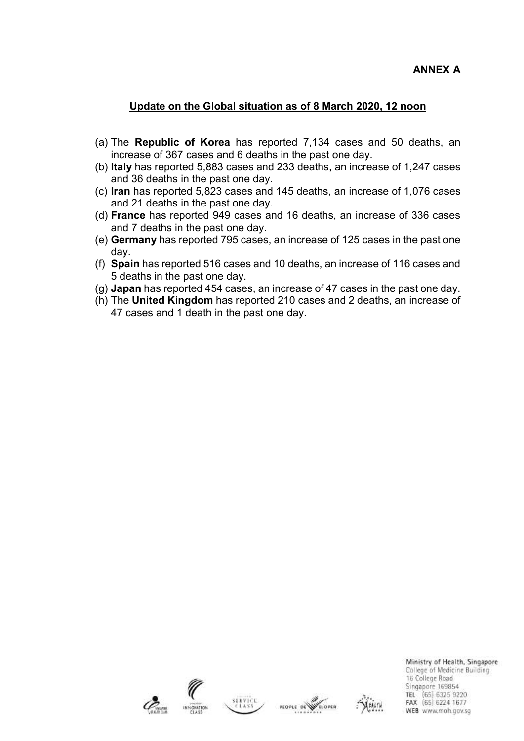## **Update on the Global situation as of 8 March 2020, 12 noon**

- (a) The **Republic of Korea** has reported 7,134 cases and 50 deaths, an increase of 367 cases and 6 deaths in the past one day.
- (b) **Italy** has reported 5,883 cases and 233 deaths, an increase of 1,247 cases and 36 deaths in the past one day.
- (c) **Iran** has reported 5,823 cases and 145 deaths, an increase of 1,076 cases and 21 deaths in the past one day.
- (d) **France** has reported 949 cases and 16 deaths, an increase of 336 cases and 7 deaths in the past one day.
- (e) **Germany** has reported 795 cases, an increase of 125 cases in the past one day.
- (f) **Spain** has reported 516 cases and 10 deaths, an increase of 116 cases and 5 deaths in the past one day.
- (g) **Japan** has reported 454 cases, an increase of 47 cases in the past one day.
- (h) The **United Kingdom** has reported 210 cases and 2 deaths, an increase of 47 cases and 1 death in the past one day.







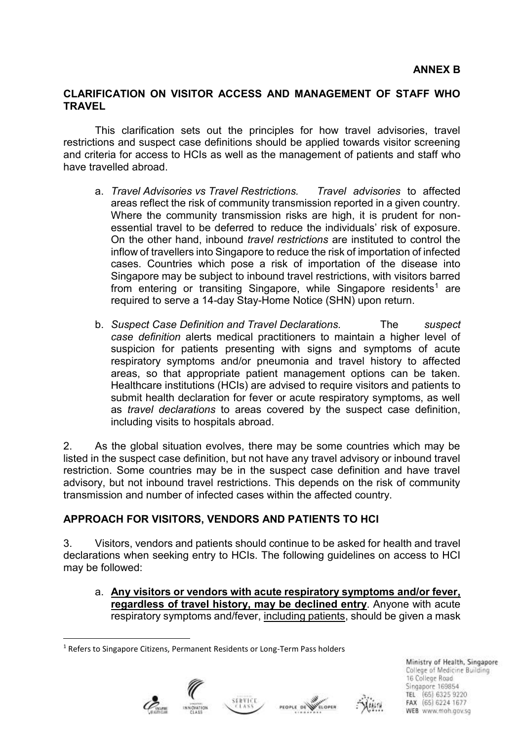### **CLARIFICATION ON VISITOR ACCESS AND MANAGEMENT OF STAFF WHO TRAVEL**

This clarification sets out the principles for how travel advisories, travel restrictions and suspect case definitions should be applied towards visitor screening and criteria for access to HCIs as well as the management of patients and staff who have travelled abroad.

- a. *Travel Advisories vs Travel Restrictions. Travel advisories* to affected areas reflect the risk of community transmission reported in a given country. Where the community transmission risks are high, it is prudent for nonessential travel to be deferred to reduce the individuals' risk of exposure. On the other hand, inbound *travel restrictions* are instituted to control the inflow of travellers into Singapore to reduce the risk of importation of infected cases. Countries which pose a risk of importation of the disease into Singapore may be subject to inbound travel restrictions, with visitors barred from entering or transiting Singapore, while Singapore residents<sup>1</sup> are required to serve a 14-day Stay-Home Notice (SHN) upon return.
- b. *Suspect Case Definition and Travel Declarations.* The *suspect case definition* alerts medical practitioners to maintain a higher level of suspicion for patients presenting with signs and symptoms of acute respiratory symptoms and/or pneumonia and travel history to affected areas, so that appropriate patient management options can be taken. Healthcare institutions (HCIs) are advised to require visitors and patients to submit health declaration for fever or acute respiratory symptoms, as well as *travel declarations* to areas covered by the suspect case definition, including visits to hospitals abroad.

2. As the global situation evolves, there may be some countries which may be listed in the suspect case definition, but not have any travel advisory or inbound travel restriction. Some countries may be in the suspect case definition and have travel advisory, but not inbound travel restrictions. This depends on the risk of community transmission and number of infected cases within the affected country.

## **APPROACH FOR VISITORS, VENDORS AND PATIENTS TO HCI**

3. Visitors, vendors and patients should continue to be asked for health and travel declarations when seeking entry to HCIs. The following guidelines on access to HCI may be followed:

a. **Any visitors or vendors with acute respiratory symptoms and/or fever, regardless of travel history, may be declined entry**. Anyone with acute respiratory symptoms and/fever, including patients, should be given a mask

<sup>&</sup>lt;sup>1</sup> Refers to Singapore Citizens, Permanent Residents or Long-Term Pass holders



**.** 





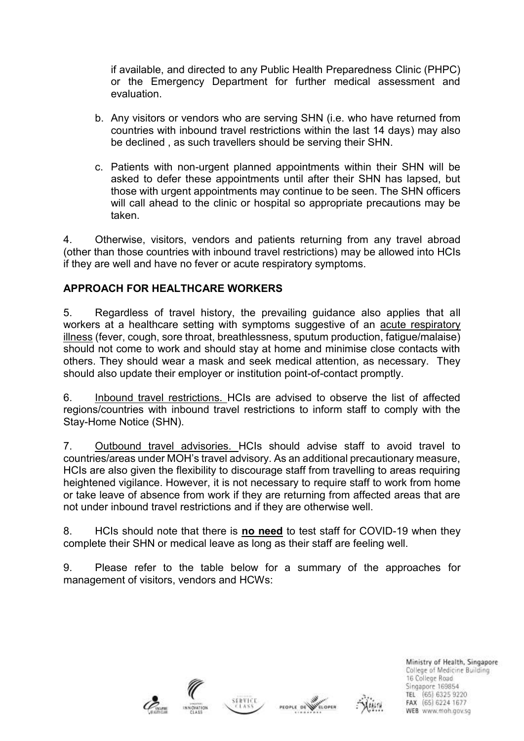if available, and directed to any Public Health Preparedness Clinic (PHPC) or the Emergency Department for further medical assessment and evaluation.

- b. Any visitors or vendors who are serving SHN (i.e. who have returned from countries with inbound travel restrictions within the last 14 days) may also be declined , as such travellers should be serving their SHN.
- c. Patients with non-urgent planned appointments within their SHN will be asked to defer these appointments until after their SHN has lapsed, but those with urgent appointments may continue to be seen. The SHN officers will call ahead to the clinic or hospital so appropriate precautions may be taken.

4. Otherwise, visitors, vendors and patients returning from any travel abroad (other than those countries with inbound travel restrictions) may be allowed into HCIs if they are well and have no fever or acute respiratory symptoms.

# **APPROACH FOR HEALTHCARE WORKERS**

5. Regardless of travel history, the prevailing guidance also applies that all workers at a healthcare setting with symptoms suggestive of an acute respiratory illness (fever, cough, sore throat, breathlessness, sputum production, fatigue/malaise) should not come to work and should stay at home and minimise close contacts with others. They should wear a mask and seek medical attention, as necessary. They should also update their employer or institution point-of-contact promptly.

6. Inbound travel restrictions. HCIs are advised to observe the list of affected regions/countries with inbound travel restrictions to inform staff to comply with the Stay-Home Notice (SHN).

7. Outbound travel advisories. HCIs should advise staff to avoid travel to countries/areas under MOH's travel advisory. As an additional precautionary measure, HCIs are also given the flexibility to discourage staff from travelling to areas requiring heightened vigilance. However, it is not necessary to require staff to work from home or take leave of absence from work if they are returning from affected areas that are not under inbound travel restrictions and if they are otherwise well.

8. HCIs should note that there is **no need** to test staff for COVID-19 when they complete their SHN or medical leave as long as their staff are feeling well.

9. Please refer to the table below for a summary of the approaches for management of visitors, vendors and HCWs: